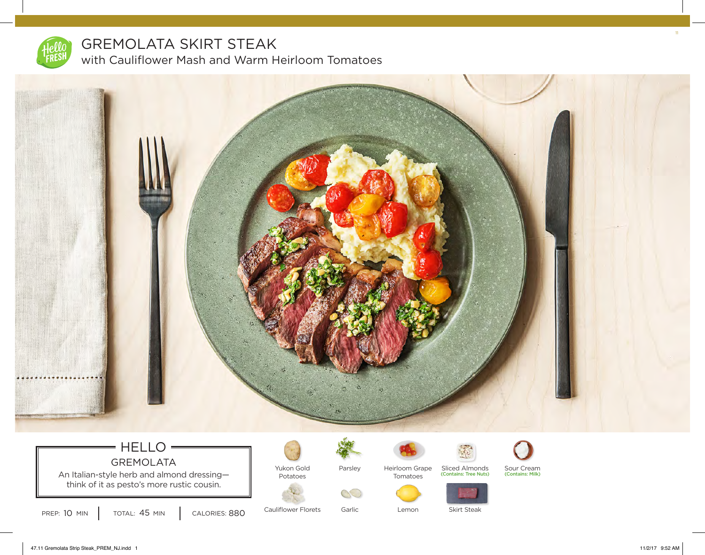

## GREMOLATA SKIRT STEAK with Cauliflower Mash and Warm Heirloom Tomatoes



## HELLO GREMOLATA

An Italian-style herb and almond dressing- $\parallel$ think of it as pesto's more rustic cousin.

PREP: 10 MIN | TOTAL: 45 MIN | CALORIES: 880



Cauliflower Florets

Parsley



Heirloom Grape Sliced Almonds Sour Cream Tomatoes



Skirt Steak

Sliced Almonds Sour Cream<br>(Contains: Tree Nuts) (Contains: Milk)

Garlic

Lemon



11